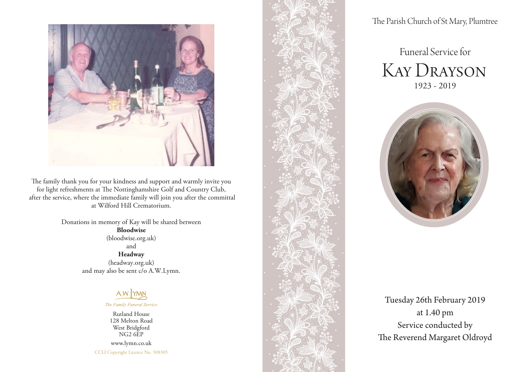

The family thank you for your kindness and support and warmly invite you for light refreshments at The Nottinghamshire Golf and Country Club, after the service, where the immediate family will join you after the committal at Wilford Hill Crematorium.

> Donations in memory of Kay will be shared between **Bloodwise** (bloodwise.org.uk) and **Headway**

(headway.org.uk) and may also be sent c/o A.W.Lymn.



The Family Funeral Service

Rutland House 128 Melton Road West Bridgford NG2 6EP www.lymn.co.uk

CCLI Copyright Licence No. 508305



The Parish Church of St Mary, Plumtree

# Funeral Service for Kay Drayson 1923 - 2019



Tuesday 26th February 2019 at 1.40 pm Service conducted by The Reverend Margaret Oldroyd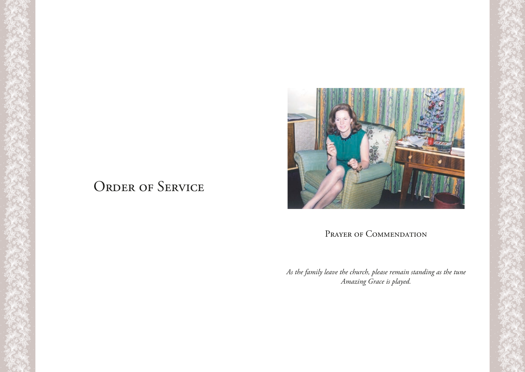

# ORDER OF SERVICE

# PRAYER OF COMMENDATION

*As the family leave the church, please remain standing as the tune Amazing Grace is played.*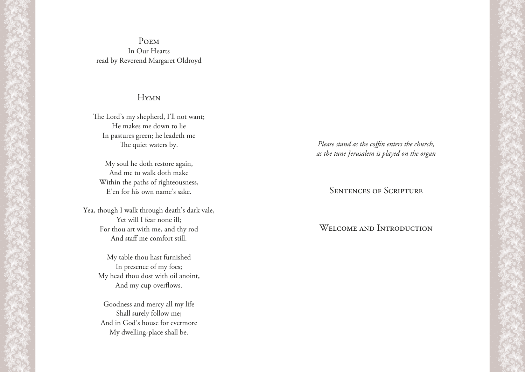#### Poem In Our Hearts read by Reverend Margaret Oldroyd

#### **HYMN**

The Lord's my shepherd, I'll not want; He makes me down to lie In pastures green; he leadeth me The quiet waters by.

My soul he doth restore again, And me to walk doth make Within the paths of righteousness, E'en for his own name's sake.

Yea, though I walk through death's dark vale, Yet will I fear none ill; For thou art with me, and thy rod And staff me comfort still.

> My table thou hast furnished In presence of my foes; My head thou dost with oil anoint, And my cup overflows.

Goodness and mercy all my life Shall surely follow me; And in God's house for evermore My dwelling-place shall be.

*Please stand as the coffin enters the church, as the tune Jerusalem is played on the organ*

### Sentences of Scripture

## WELCOME AND INTRODUCTION